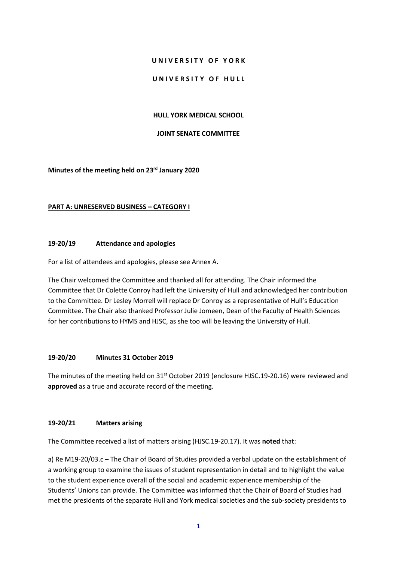## **U N I V E R S I T Y O F Y O R K**

### UNIVERSITY OF HULL

### **HULL YORK MEDICAL SCHOOL**

#### **JOINT SENATE COMMITTEE**

**Minutes of the meeting held on 23rd January 2020**

### **PART A: UNRESERVED BUSINESS – CATEGORY I**

## **19-20/19 Attendance and apologies**

For a list of attendees and apologies, please see Annex A.

The Chair welcomed the Committee and thanked all for attending. The Chair informed the Committee that Dr Colette Conroy had left the University of Hull and acknowledged her contribution to the Committee. Dr Lesley Morrell will replace Dr Conroy as a representative of Hull's Education Committee. The Chair also thanked Professor Julie Jomeen, Dean of the Faculty of Health Sciences for her contributions to HYMS and HJSC, as she too will be leaving the University of Hull.

## **19-20/20 Minutes 31 October 2019**

The minutes of the meeting held on 31<sup>st</sup> October 2019 (enclosure HJSC.19-20.16) were reviewed and **approved** as a true and accurate record of the meeting.

#### **19-20/21 Matters arising**

The Committee received a list of matters arising (HJSC.19-20.17). It was **noted** that:

a) Re M19-20/03.c – The Chair of Board of Studies provided a verbal update on the establishment of a working group to examine the issues of student representation in detail and to highlight the value to the student experience overall of the social and academic experience membership of the Students' Unions can provide. The Committee was informed that the Chair of Board of Studies had met the presidents of the separate Hull and York medical societies and the sub-society presidents to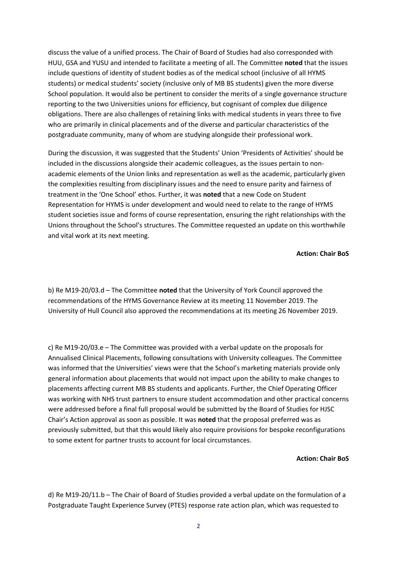discuss the value of a unified process. The Chair of Board of Studies had also corresponded with HUU, GSA and YUSU and intended to facilitate a meeting of all. The Committee **noted** that the issues include questions of identity of student bodies as of the medical school (inclusive of all HYMS students) or medical students' society (inclusive only of MB BS students) given the more diverse School population. It would also be pertinent to consider the merits of a single governance structure reporting to the two Universities unions for efficiency, but cognisant of complex due diligence obligations. There are also challenges of retaining links with medical students in years three to five who are primarily in clinical placements and of the diverse and particular characteristics of the postgraduate community, many of whom are studying alongside their professional work.

During the discussion, it was suggested that the Students' Union 'Presidents of Activities' should be included in the discussions alongside their academic colleagues, as the issues pertain to nonacademic elements of the Union links and representation as well as the academic, particularly given the complexities resulting from disciplinary issues and the need to ensure parity and fairness of treatment in the 'One School' ethos. Further, it was **noted** that a new Code on Student Representation for HYMS is under development and would need to relate to the range of HYMS student societies issue and forms of course representation, ensuring the right relationships with the Unions throughout the School's structures. The Committee requested an update on this worthwhile and vital work at its next meeting.

#### **Action: Chair BoS**

b) Re M19-20/03.d – The Committee **noted** that the University of York Council approved the recommendations of the HYMS Governance Review at its meeting 11 November 2019. The University of Hull Council also approved the recommendations at its meeting 26 November 2019.

c) Re M19-20/03.e – The Committee was provided with a verbal update on the proposals for Annualised Clinical Placements, following consultations with University colleagues. The Committee was informed that the Universities' views were that the School's marketing materials provide only general information about placements that would not impact upon the ability to make changes to placements affecting current MB BS students and applicants. Further, the Chief Operating Officer was working with NHS trust partners to ensure student accommodation and other practical concerns were addressed before a final full proposal would be submitted by the Board of Studies for HJSC Chair's Action approval as soon as possible. It was **noted** that the proposal preferred was as previously submitted, but that this would likely also require provisions for bespoke reconfigurations to some extent for partner trusts to account for local circumstances.

#### **Action: Chair BoS**

d) Re M19-20/11.b – The Chair of Board of Studies provided a verbal update on the formulation of a Postgraduate Taught Experience Survey (PTES) response rate action plan, which was requested to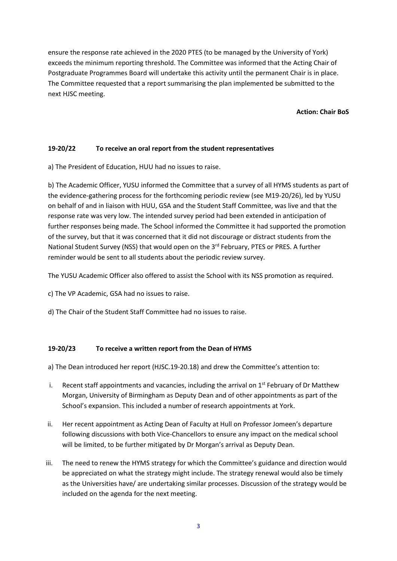ensure the response rate achieved in the 2020 PTES (to be managed by the University of York) exceeds the minimum reporting threshold. The Committee was informed that the Acting Chair of Postgraduate Programmes Board will undertake this activity until the permanent Chair is in place. The Committee requested that a report summarising the plan implemented be submitted to the next HJSC meeting.

**Action: Chair BoS**

## **19-20/22 To receive an oral report from the student representatives**

a) The President of Education, HUU had no issues to raise.

b) The Academic Officer, YUSU informed the Committee that a survey of all HYMS students as part of the evidence-gathering process for the forthcoming periodic review (see M19-20/26), led by YUSU on behalf of and in liaison with HUU, GSA and the Student Staff Committee, was live and that the response rate was very low. The intended survey period had been extended in anticipation of further responses being made. The School informed the Committee it had supported the promotion of the survey, but that it was concerned that it did not discourage or distract students from the National Student Survey (NSS) that would open on the  $3<sup>rd</sup>$  February, PTES or PRES. A further reminder would be sent to all students about the periodic review survey.

The YUSU Academic Officer also offered to assist the School with its NSS promotion as required.

c) The VP Academic, GSA had no issues to raise.

d) The Chair of the Student Staff Committee had no issues to raise.

## **19-20/23 To receive a written report from the Dean of HYMS**

a) The Dean introduced her report (HJSC.19-20.18) and drew the Committee's attention to:

- i. Recent staff appointments and vacancies, including the arrival on  $1<sup>st</sup>$  February of Dr Matthew Morgan, University of Birmingham as Deputy Dean and of other appointments as part of the School's expansion. This included a number of research appointments at York.
- ii. Her recent appointment as Acting Dean of Faculty at Hull on Professor Jomeen's departure following discussions with both Vice-Chancellors to ensure any impact on the medical school will be limited, to be further mitigated by Dr Morgan's arrival as Deputy Dean.
- iii. The need to renew the HYMS strategy for which the Committee's guidance and direction would be appreciated on what the strategy might include. The strategy renewal would also be timely as the Universities have/ are undertaking similar processes. Discussion of the strategy would be included on the agenda for the next meeting.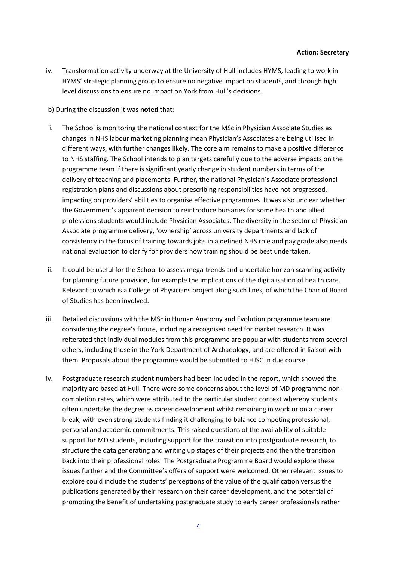iv. Transformation activity underway at the University of Hull includes HYMS, leading to work in HYMS' strategic planning group to ensure no negative impact on students, and through high level discussions to ensure no impact on York from Hull's decisions.

b) During the discussion it was **noted** that:

- i. The School is monitoring the national context for the MSc in Physician Associate Studies as changes in NHS labour marketing planning mean Physician's Associates are being utilised in different ways, with further changes likely. The core aim remains to make a positive difference to NHS staffing. The School intends to plan targets carefully due to the adverse impacts on the programme team if there is significant yearly change in student numbers in terms of the delivery of teaching and placements. Further, the national Physician's Associate professional registration plans and discussions about prescribing responsibilities have not progressed, impacting on providers' abilities to organise effective programmes. It was also unclear whether the Government's apparent decision to reintroduce bursaries for some health and allied professions students would include Physician Associates. The diversity in the sector of Physician Associate programme delivery, 'ownership' across university departments and lack of consistency in the focus of training towards jobs in a defined NHS role and pay grade also needs national evaluation to clarify for providers how training should be best undertaken.
- ii. It could be useful for the School to assess mega-trends and undertake horizon scanning activity for planning future provision, for example the implications of the digitalisation of health care. Relevant to which is a College of Physicians project along such lines, of which the Chair of Board of Studies has been involved.
- iii. Detailed discussions with the MSc in Human Anatomy and Evolution programme team are considering the degree's future, including a recognised need for market research. It was reiterated that individual modules from this programme are popular with students from several others, including those in the York Department of Archaeology, and are offered in liaison with them. Proposals about the programme would be submitted to HJSC in due course.
- iv. Postgraduate research student numbers had been included in the report, which showed the majority are based at Hull. There were some concerns about the level of MD programme noncompletion rates, which were attributed to the particular student context whereby students often undertake the degree as career development whilst remaining in work or on a career break, with even strong students finding it challenging to balance competing professional, personal and academic commitments. This raised questions of the availability of suitable support for MD students, including support for the transition into postgraduate research, to structure the data generating and writing up stages of their projects and then the transition back into their professional roles. The Postgraduate Programme Board would explore these issues further and the Committee's offers of support were welcomed. Other relevant issues to explore could include the students' perceptions of the value of the qualification versus the publications generated by their research on their career development, and the potential of promoting the benefit of undertaking postgraduate study to early career professionals rather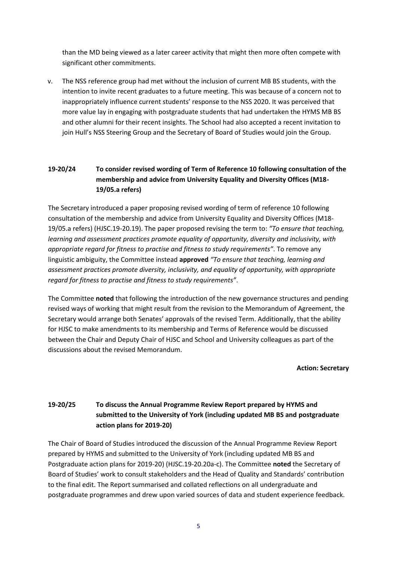than the MD being viewed as a later career activity that might then more often compete with significant other commitments.

v. The NSS reference group had met without the inclusion of current MB BS students, with the intention to invite recent graduates to a future meeting. This was because of a concern not to inappropriately influence current students' response to the NSS 2020. It was perceived that more value lay in engaging with postgraduate students that had undertaken the HYMS MB BS and other alumni for their recent insights. The School had also accepted a recent invitation to join Hull's NSS Steering Group and the Secretary of Board of Studies would join the Group.

# **19-20/24 To consider revised wording of Term of Reference 10 following consultation of the membership and advice from University Equality and Diversity Offices (M18- 19/05.a refers)**

The Secretary introduced a paper proposing revised wording of term of reference 10 following consultation of the membership and advice from University Equality and Diversity Offices (M18- 19/05.a refers) (HJSC.19-20.19). The paper proposed revising the term to: *"To ensure that teaching, learning and assessment practices promote equality of opportunity, diversity and inclusivity, with appropriate regard for fitness to practise and fitness to study requirements"*. To remove any linguistic ambiguity, the Committee instead **approved** *"To ensure that teaching, learning and assessment practices promote diversity, inclusivity, and equality of opportunity, with appropriate regard for fitness to practise and fitness to study requirements"*.

The Committee **noted** that following the introduction of the new governance structures and pending revised ways of working that might result from the revision to the Memorandum of Agreement, the Secretary would arrange both Senates' approvals of the revised Term. Additionally, that the ability for HJSC to make amendments to its membership and Terms of Reference would be discussed between the Chair and Deputy Chair of HJSC and School and University colleagues as part of the discussions about the revised Memorandum.

**Action: Secretary**

# **19-20/25 To discuss the Annual Programme Review Report prepared by HYMS and submitted to the University of York (including updated MB BS and postgraduate action plans for 2019-20)**

The Chair of Board of Studies introduced the discussion of the Annual Programme Review Report prepared by HYMS and submitted to the University of York (including updated MB BS and Postgraduate action plans for 2019-20) (HJSC.19-20.20a-c). The Committee **noted** the Secretary of Board of Studies' work to consult stakeholders and the Head of Quality and Standards' contribution to the final edit. The Report summarised and collated reflections on all undergraduate and postgraduate programmes and drew upon varied sources of data and student experience feedback.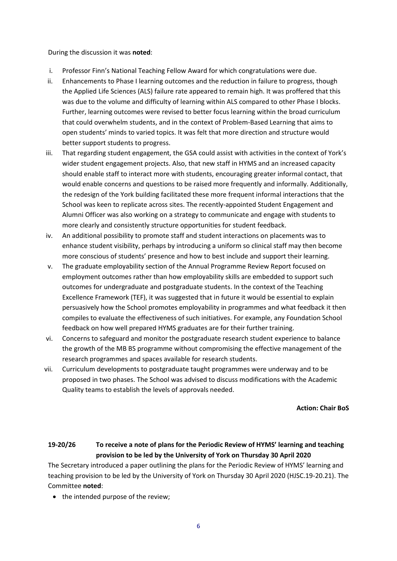During the discussion it was **noted**:

- i. Professor Finn's National Teaching Fellow Award for which congratulations were due.
- ii. Enhancements to Phase I learning outcomes and the reduction in failure to progress, though the Applied Life Sciences (ALS) failure rate appeared to remain high. It was proffered that this was due to the volume and difficulty of learning within ALS compared to other Phase I blocks. Further, learning outcomes were revised to better focus learning within the broad curriculum that could overwhelm students, and in the context of Problem-Based Learning that aims to open students' minds to varied topics. It was felt that more direction and structure would better support students to progress.
- iii. That regarding student engagement, the GSA could assist with activities in the context of York's wider student engagement projects. Also, that new staff in HYMS and an increased capacity should enable staff to interact more with students, encouraging greater informal contact, that would enable concerns and questions to be raised more frequently and informally. Additionally, the redesign of the York building facilitated these more frequent informal interactions that the School was keen to replicate across sites. The recently-appointed Student Engagement and Alumni Officer was also working on a strategy to communicate and engage with students to more clearly and consistently structure opportunities for student feedback.
- iv. An additional possibility to promote staff and student interactions on placements was to enhance student visibility, perhaps by introducing a uniform so clinical staff may then become more conscious of students' presence and how to best include and support their learning.
- v. The graduate employability section of the Annual Programme Review Report focused on employment outcomes rather than how employability skills are embedded to support such outcomes for undergraduate and postgraduate students. In the context of the Teaching Excellence Framework (TEF), it was suggested that in future it would be essential to explain persuasively how the School promotes employability in programmes and what feedback it then compiles to evaluate the effectiveness of such initiatives. For example, any Foundation School feedback on how well prepared HYMS graduates are for their further training.
- vi. Concerns to safeguard and monitor the postgraduate research student experience to balance the growth of the MB BS programme without compromising the effective management of the research programmes and spaces available for research students.
- vii. Curriculum developments to postgraduate taught programmes were underway and to be proposed in two phases. The School was advised to discuss modifications with the Academic Quality teams to establish the levels of approvals needed.

**Action: Chair BoS**

**19-20/26 To receive a note of plans for the Periodic Review of HYMS' learning and teaching provision to be led by the University of York on Thursday 30 April 2020**

The Secretary introduced a paper outlining the plans for the Periodic Review of HYMS' learning and teaching provision to be led by the University of York on Thursday 30 April 2020 (HJSC.19-20.21). The Committee **noted**:

• the intended purpose of the review;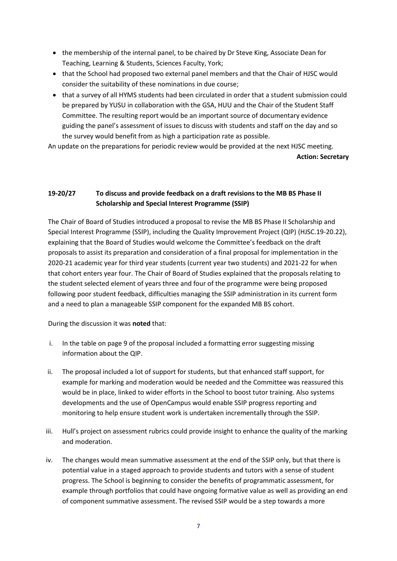- the membership of the internal panel, to be chaired by Dr Steve King, Associate Dean for Teaching, Learning & Students, Sciences Faculty, York;
- that the School had proposed two external panel members and that the Chair of HJSC would consider the suitability of these nominations in due course;
- that a survey of all HYMS students had been circulated in order that a student submission could be prepared by YUSU in collaboration with the GSA, HUU and the Chair of the Student Staff Committee. The resulting report would be an important source of documentary evidence guiding the panel's assessment of issues to discuss with students and staff on the day and so the survey would benefit from as high a participation rate as possible.

An update on the preparations for periodic review would be provided at the next HJSC meeting. **Action: Secretary** 

# **19-20/27 To discuss and provide feedback on a draft revisions to the MB BS Phase II Scholarship and Special Interest Programme (SSIP)**

The Chair of Board of Studies introduced a proposal to revise the MB BS Phase II Scholarship and Special Interest Programme (SSIP), including the Quality Improvement Project (QIP) (HJSC.19-20.22), explaining that the Board of Studies would welcome the Committee's feedback on the draft proposals to assist its preparation and consideration of a final proposal for implementation in the 2020-21 academic year for third year students (current year two students) and 2021-22 for when that cohort enters year four. The Chair of Board of Studies explained that the proposals relating to the student selected element of years three and four of the programme were being proposed following poor student feedback, difficulties managing the SSIP administration in its current form and a need to plan a manageable SSIP component for the expanded MB BS cohort.

During the discussion it was **noted** that:

- i. In the table on page 9 of the proposal included a formatting error suggesting missing information about the QIP.
- ii. The proposal included a lot of support for students, but that enhanced staff support, for example for marking and moderation would be needed and the Committee was reassured this would be in place, linked to wider efforts in the School to boost tutor training. Also systems developments and the use of OpenCampus would enable SSIP progress reporting and monitoring to help ensure student work is undertaken incrementally through the SSIP.
- iii. Hull's project on assessment rubrics could provide insight to enhance the quality of the marking and moderation.
- iv. The changes would mean summative assessment at the end of the SSIP only, but that there is potential value in a staged approach to provide students and tutors with a sense of student progress. The School is beginning to consider the benefits of programmatic assessment, for example through portfolios that could have ongoing formative value as well as providing an end of component summative assessment. The revised SSIP would be a step towards a more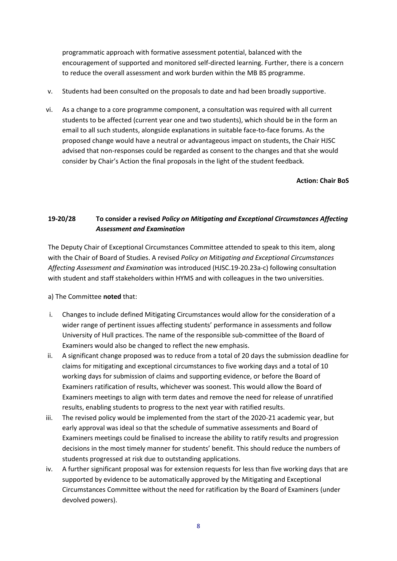programmatic approach with formative assessment potential, balanced with the encouragement of supported and monitored self-directed learning. Further, there is a concern to reduce the overall assessment and work burden within the MB BS programme.

- v. Students had been consulted on the proposals to date and had been broadly supportive.
- vi. As a change to a core programme component, a consultation was required with all current students to be affected (current year one and two students), which should be in the form an email to all such students, alongside explanations in suitable face-to-face forums. As the proposed change would have a neutral or advantageous impact on students, the Chair HJSC advised that non-responses could be regarded as consent to the changes and that she would consider by Chair's Action the final proposals in the light of the student feedback*.*

**Action: Chair BoS**

# **19-20/28 To consider a revised** *Policy on Mitigating and Exceptional Circumstances Affecting Assessment and Examination*

The Deputy Chair of Exceptional Circumstances Committee attended to speak to this item, along with the Chair of Board of Studies. A revised *Policy on Mitigating and Exceptional Circumstances Affecting Assessment and Examination* was introduced (HJSC.19-20.23a-c) following consultation with student and staff stakeholders within HYMS and with colleagues in the two universities.

## a) The Committee **noted** that:

- i. Changes to include defined Mitigating Circumstances would allow for the consideration of a wider range of pertinent issues affecting students' performance in assessments and follow University of Hull practices. The name of the responsible sub-committee of the Board of Examiners would also be changed to reflect the new emphasis.
- ii. A significant change proposed was to reduce from a total of 20 days the submission deadline for claims for mitigating and exceptional circumstances to five working days and a total of 10 working days for submission of claims and supporting evidence, or before the Board of Examiners ratification of results, whichever was soonest. This would allow the Board of Examiners meetings to align with term dates and remove the need for release of unratified results, enabling students to progress to the next year with ratified results.
- iii. The revised policy would be implemented from the start of the 2020-21 academic year, but early approval was ideal so that the schedule of summative assessments and Board of Examiners meetings could be finalised to increase the ability to ratify results and progression decisions in the most timely manner for students' benefit. This should reduce the numbers of students progressed at risk due to outstanding applications.
- iv. A further significant proposal was for extension requests for less than five working days that are supported by evidence to be automatically approved by the Mitigating and Exceptional Circumstances Committee without the need for ratification by the Board of Examiners (under devolved powers).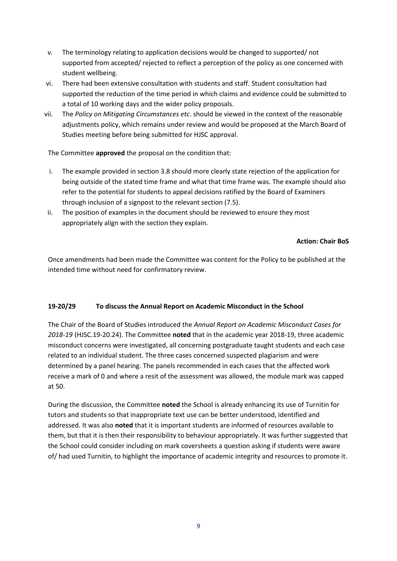- v. The terminology relating to application decisions would be changed to supported/ not supported from accepted/ rejected to reflect a perception of the policy as one concerned with student wellbeing.
- vi. There had been extensive consultation with students and staff. Student consultation had supported the reduction of the time period in which claims and evidence could be submitted to a total of 10 working days and the wider policy proposals.
- vii. The *Policy on Mitigating Circumstances etc*. should be viewed in the context of the reasonable adjustments policy, which remains under review and would be proposed at the March Board of Studies meeting before being submitted for HJSC approval.

The Committee **approved** the proposal on the condition that:

- i. The example provided in section 3.8 should more clearly state rejection of the application for being outside of the stated time frame and what that time frame was. The example should also refer to the potential for students to appeal decisions ratified by the Board of Examiners through inclusion of a signpost to the relevant section (7.5).
- ii. The position of examples in the document should be reviewed to ensure they most appropriately align with the section they explain.

## **Action: Chair BoS**

Once amendments had been made the Committee was content for the Policy to be published at the intended time without need for confirmatory review.

## **19-20/29 To discuss the Annual Report on Academic Misconduct in the School**

The Chair of the Board of Studies introduced the *Annual Report on Academic Misconduct Cases for 2018-19* (HJSC.19-20.24). The Committee **noted** that in the academic year 2018-19, three academic misconduct concerns were investigated, all concerning postgraduate taught students and each case related to an individual student. The three cases concerned suspected plagiarism and were determined by a panel hearing. The panels recommended in each cases that the affected work receive a mark of 0 and where a resit of the assessment was allowed, the module mark was capped at 50.

During the discussion, the Committee **noted** the School is already enhancing its use of Turnitin for tutors and students so that inappropriate text use can be better understood, identified and addressed. It was also **noted** that it is important students are informed of resources available to them, but that it is then their responsibility to behaviour appropriately. It was further suggested that the School could consider including on mark coversheets a question asking if students were aware of/ had used Turnitin, to highlight the importance of academic integrity and resources to promote it.